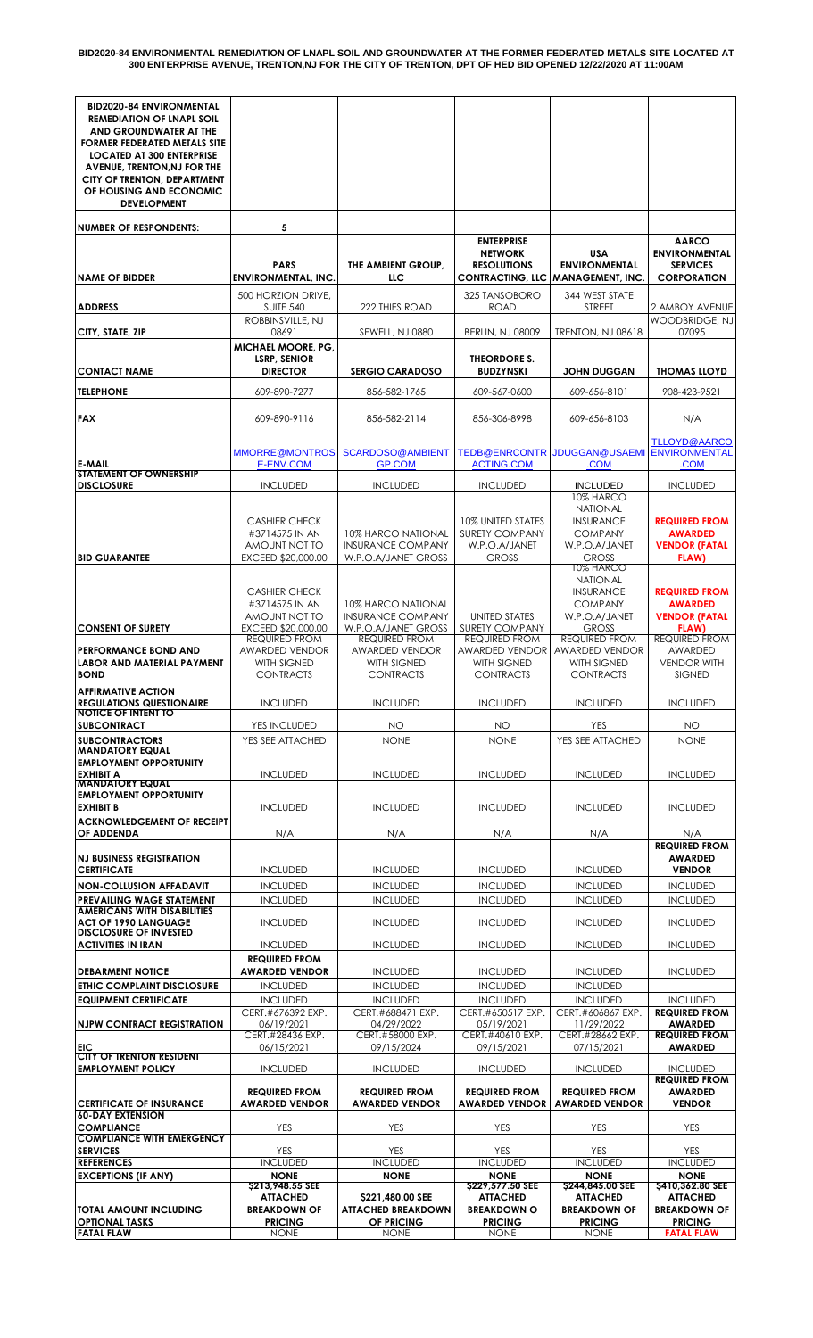| <b>BID2020-84 ENVIRONMENTAL</b>                                 |                                               |                                                |                                            |                                               |                                         |
|-----------------------------------------------------------------|-----------------------------------------------|------------------------------------------------|--------------------------------------------|-----------------------------------------------|-----------------------------------------|
| <b>REMEDIATION OF LNAPL SOIL</b><br>AND GROUNDWATER AT THE      |                                               |                                                |                                            |                                               |                                         |
| <b>FORMER FEDERATED METALS SITE</b>                             |                                               |                                                |                                            |                                               |                                         |
| <b>LOCATED AT 300 ENTERPRISE</b><br>AVENUE, TRENTON, NJ FOR THE |                                               |                                                |                                            |                                               |                                         |
| CITY OF TRENTON, DEPARTMENT                                     |                                               |                                                |                                            |                                               |                                         |
| OF HOUSING AND ECONOMIC<br><b>DEVELOPMENT</b>                   |                                               |                                                |                                            |                                               |                                         |
|                                                                 |                                               |                                                |                                            |                                               |                                         |
| <b>NUMBER OF RESPONDENTS:</b>                                   | 5                                             |                                                |                                            |                                               |                                         |
|                                                                 |                                               |                                                | <b>ENTERPRISE</b><br><b>NETWORK</b>        | <b>USA</b>                                    | <b>AARCO</b><br><b>ENVIRONMENTAL</b>    |
|                                                                 | <b>PARS</b>                                   | THE AMBIENT GROUP.                             | <b>RESOLUTIONS</b>                         | <b>ENVIRONMENTAL</b>                          | <b>SERVICES</b>                         |
| <b>NAME OF BIDDER</b>                                           | <b>ENVIRONMENTAL, INC.</b>                    | LLC                                            |                                            | CONTRACTING, LLC   MANAGEMENT, INC.           | <b>CORPORATION</b>                      |
|                                                                 | 500 HORZION DRIVE,                            |                                                | 325 TANSOBORO                              | 344 WEST STATE                                |                                         |
| <b>ADDRESS</b>                                                  | <b>SUITE 540</b><br>ROBBINSVILLE, NJ          | 222 THIES ROAD                                 | <b>ROAD</b>                                | STREET                                        | 2 AMBOY AVENUE<br><b>WOODBRIDGE, NJ</b> |
| CITY, STATE, ZIP                                                | 08691                                         | SEWELL, NJ 0880                                | <b>BERLIN, NJ 08009</b>                    | <b>TRENTON, NJ 08618</b>                      | 07095                                   |
|                                                                 | MICHAEL MOORE, PG,<br><b>LSRP, SENIOR</b>     |                                                | THEORDORE S.                               |                                               |                                         |
| <b>CONTACT NAME</b>                                             | <b>DIRECTOR</b>                               | <b>SERGIO CARADOSO</b>                         | <b>BUDZYNSKI</b>                           | <b>JOHN DUGGAN</b>                            | <b>THOMAS LLOYD</b>                     |
| <b>TELEPHONE</b>                                                | 609-890-7277                                  | 856-582-1765                                   | 609-567-0600                               | 609-656-8101                                  | 908-423-9521                            |
|                                                                 |                                               |                                                |                                            |                                               |                                         |
| <b>FAX</b>                                                      | 609-890-9116                                  | 856-582-2114                                   | 856-306-8998                               | 609-656-8103                                  | N/A                                     |
|                                                                 |                                               |                                                |                                            |                                               | <b>TLLOYD@AARCO</b>                     |
| <b>E-MAIL</b>                                                   | <b>MMORRE@MONTROS</b><br>E-ENV.COM            | SCARDOSO@AMBIENT<br><b>GP.COM</b>              | <b>TEDB@ENRCONTR</b><br><b>ACTING.COM</b>  | JDUGGAN@USAEMI<br>.COM                        | <b>ENVIRONMENTAL</b><br>.COM            |
| <b>STATEMENT OF OWNERSHIP</b>                                   |                                               |                                                |                                            |                                               |                                         |
| <b>DISCLOSURE</b>                                               | <b>INCLUDED</b>                               | <b>INCLUDED</b>                                | <b>INCLUDED</b>                            | <b>INCLUDED</b><br>10% HARCO                  | <b>INCLUDED</b>                         |
|                                                                 |                                               |                                                |                                            | NATIONAL                                      |                                         |
|                                                                 | <b>CASHIER CHECK</b><br>#3714575 IN AN        | 10% HARCO NATIONAL                             | 10% UNITED STATES<br><b>SURETY COMPANY</b> | <b>INSURANCE</b><br><b>COMPANY</b>            | <b>REQUIRED FROM</b><br><b>AWARDED</b>  |
|                                                                 | AMOUNT NOT TO                                 | <b>INSURANCE COMPANY</b>                       | W.P.O.A/JANET                              | W.P.O.A/JANET                                 | <b>VENDOR (FATAL</b>                    |
| <b>BID GUARANTEE</b>                                            | EXCEED \$20,000.00                            | W.P.O.A/JANET GROSS                            | <b>GROSS</b>                               | <b>GROSS</b><br>10% HARCO                     | FLAW)                                   |
|                                                                 |                                               |                                                |                                            | NATIONAL                                      |                                         |
|                                                                 | <b>CASHIER CHECK</b>                          |                                                |                                            | <b>INSURANCE</b>                              | <b>REQUIRED FROM</b>                    |
|                                                                 | #3714575 IN AN<br>AMOUNT NOT TO               | 10% HARCO NATIONAL<br><b>INSURANCE COMPANY</b> | <b>UNITED STATES</b>                       | <b>COMPANY</b><br>W.P.O.A/JANET               | <b>AWARDED</b><br><b>VENDOR (FATAL</b>  |
| <b>CONSENT OF SURETY</b>                                        | EXCEED \$20,000.00                            | W.P.O.A/JANET GROSS                            | <b>SURETY COMPANY</b>                      | <b>GROSS</b>                                  | FLAW)                                   |
| <b>PERFORMANCE BOND AND</b>                                     | <b>REQUIRED FROM</b><br><b>AWARDED VENDOR</b> | <b>REQUIRED FROM</b><br><b>AWARDED VENDOR</b>  | <b>REQUIRED FROM</b><br>AWARDED VENDOR     | <b>REQUIRED FROM</b><br><b>AWARDED VENDOR</b> | <b>REQUIRED FROM</b><br><b>AWARDED</b>  |
| <b>LABOR AND MATERIAL PAYMENT</b>                               | WITH SIGNED                                   | WITH SIGNED                                    | WITH SIGNED                                | WITH SIGNED                                   | <b>VENDOR WITH</b>                      |
| <b>BOND</b>                                                     | <b>CONTRACTS</b>                              | <b>CONTRACTS</b>                               | <b>CONTRACTS</b>                           | <b>CONTRACTS</b>                              | SIGNED                                  |
| <b>AFFIRMATIVE ACTION</b><br><b>REGULATIONS QUESTIONAIRE</b>    | <b>INCLUDED</b>                               | <b>INCLUDED</b>                                | <b>INCLUDED</b>                            | <b>INCLUDED</b>                               | <b>INCLUDED</b>                         |
| <b>NOTICE OF INTENT TO</b>                                      |                                               |                                                |                                            |                                               |                                         |
| <b>SUBCONTRACT</b><br><b>SUBCONTRACTORS</b>                     | YES INCLUDED<br>YES SEE ATTACHED              | <b>NO</b><br><b>NONE</b>                       | <b>NO</b><br><b>NONE</b>                   | YES<br>YES SEE ATTACHED                       | ΝO<br><b>NONE</b>                       |
| <b>MANDATORY EQUAL</b>                                          |                                               |                                                |                                            |                                               |                                         |
| <b>EMPLOYMENT OPPORTUNITY</b><br><b>EXHIBIT A</b>               | <b>INCLUDED</b>                               | <b>INCLUDED</b>                                | <b>INCLUDED</b>                            | <b>INCLUDED</b>                               | <b>INCLUDED</b>                         |
| <b>MANDAIORY EQUAL</b>                                          |                                               |                                                |                                            |                                               |                                         |
| <b>EMPLOYMENT OPPORTUNITY</b><br><b>EXHIBIT B</b>               | <b>INCLUDED</b>                               | <b>INCLUDED</b>                                | <b>INCLUDED</b>                            | <b>INCLUDED</b>                               | <b>INCLUDED</b>                         |
| <b>ACKNOWLEDGEMENT OF RECEIPT</b>                               |                                               |                                                |                                            |                                               |                                         |
| OF ADDENDA                                                      | N/A                                           | N/A                                            | N/A                                        | N/A                                           | N/A<br><b>REQUIRED FROM</b>             |
| <b>NJ BUSINESS REGISTRATION</b>                                 |                                               |                                                |                                            |                                               | <b>AWARDED</b>                          |
| <b>CERTIFICATE</b>                                              | <b>INCLUDED</b>                               | <b>INCLUDED</b>                                | <b>INCLUDED</b>                            | <b>INCLUDED</b>                               | <b>VENDOR</b>                           |
| <b>NON-COLLUSION AFFADAVIT</b>                                  | <b>INCLUDED</b>                               | <b>INCLUDED</b>                                | <b>INCLUDED</b>                            | <b>INCLUDED</b>                               | <b>INCLUDED</b>                         |
| PREVAILING WAGE STATEMENT<br><b>AMERICANS WITH DISABILITIES</b> | <b>INCLUDED</b>                               | <b>INCLUDED</b>                                | <b>INCLUDED</b>                            | <b>INCLUDED</b>                               | <b>INCLUDED</b>                         |
| <b>ACT OF 1990 LANGUAGE</b><br><b>DISCLOSURE OF INVESTED</b>    | <b>INCLUDED</b>                               | <b>INCLUDED</b>                                | <b>INCLUDED</b>                            | <b>INCLUDED</b>                               | <b>INCLUDED</b>                         |
| <b>ACTIVITIES IN IRAN</b>                                       | <b>INCLUDED</b>                               | <b>INCLUDED</b>                                | <b>INCLUDED</b>                            | <b>INCLUDED</b>                               | <b>INCLUDED</b>                         |
| <b>DEBARMENT NOTICE</b>                                         | <b>REQUIRED FROM</b><br><b>AWARDED VENDOR</b> | <b>INCLUDED</b>                                | <b>INCLUDED</b>                            | <b>INCLUDED</b>                               | <b>INCLUDED</b>                         |
| ETHIC COMPLAINT DISCLOSURE                                      | <b>INCLUDED</b>                               | <b>INCLUDED</b>                                | <b>INCLUDED</b>                            | <b>INCLUDED</b>                               |                                         |
| <b>EQUIPMENT CERTIFICATE</b>                                    | <b>INCLUDED</b>                               | <b>INCLUDED</b>                                | <b>INCLUDED</b>                            | <b>INCLUDED</b>                               | <b>INCLUDED</b>                         |
|                                                                 | CERT.#676392 EXP.                             | CERT.#688471 EXP.                              | CERT.#650517 EXP.                          | CERT.#606867 EXP.                             | <b>REQUIRED FROM</b>                    |
| <b>NJPW CONTRACT REGISTRATION</b>                               | 06/19/2021<br>CERT.#28436 EXP.                | 04/29/2022<br>CERT.#58000 EXP.                 | 05/19/2021<br>CERT.#40610 EXP.             | 11/29/2022<br>CERT.#28662 EXP.                | <b>AWARDED</b><br><b>REQUIRED FROM</b>  |
| EIC<br><b>CITY OF TRENTON RESIDENT</b>                          | 06/15/2021                                    | 09/15/2024                                     | 09/15/2021                                 | 07/15/2021                                    | <b>AWARDED</b>                          |
| <b>EMPLOYMENT POLICY</b>                                        | <b>INCLUDED</b>                               | <b>INCLUDED</b>                                | <b>INCLUDED</b>                            | <b>INCLUDED</b>                               | <b>INCLUDED</b>                         |
|                                                                 | <b>REQUIRED FROM</b>                          | <b>REQUIRED FROM</b>                           | <b>REQUIRED FROM</b>                       | <b>REQUIRED FROM</b>                          | <b>REQUIRED FROM</b><br><b>AWARDED</b>  |
| <b>CERTIFICATE OF INSURANCE</b>                                 | <b>AWARDED VENDOR</b>                         | <b>AWARDED VENDOR</b>                          | <b>AWARDED VENDOR</b>                      | <b>AWARDED VENDOR</b>                         | <b>VENDOR</b>                           |
| <b>60-DAY EXTENSION</b><br><b>COMPLIANCE</b>                    | <b>YES</b>                                    | <b>YES</b>                                     | <b>YES</b>                                 | YES                                           | <b>YES</b>                              |
| <b>COMPLIANCE WITH EMERGENCY</b>                                |                                               |                                                |                                            |                                               |                                         |
| <b>SERVICES</b><br><b>REFERENCES</b>                            | <b>YES</b><br><b>INCLUDED</b>                 | <b>YES</b><br><b>INCLUDED</b>                  | <b>YES</b><br><b>INCLUDED</b>              | YES<br><b>INCLUDED</b>                        | <b>YES</b><br><b>INCLUDED</b>           |
| <b>EXCEPTIONS (IF ANY)</b>                                      | <b>NONE</b>                                   | <b>NONE</b>                                    | <b>NONE</b>                                | <b>NONE</b>                                   | <b>NONE</b>                             |
|                                                                 | \$213,948.55 SEE<br><b>ATTACHED</b>           | \$221,480.00 SEE                               | \$229,577.50 SEE<br><b>ATTACHED</b>        | \$244,845.00 SEE<br><b>ATTACHED</b>           | \$410,362.80 SEE<br><b>ATTACHED</b>     |
| <b>TOTAL AMOUNT INCLUDING</b>                                   | <b>BREAKDOWN OF</b>                           | <b>ATTACHED BREAKDOWN</b>                      | <b>BREAKDOWN O</b>                         | <b>BREAKDOWN OF</b>                           | <b>BREAKDOWN OF</b>                     |
| <b>OPTIONAL TASKS</b><br><b>FATAL FLAW</b>                      | <b>PRICING</b><br><b>NONE</b>                 | OF PRICING<br><b>NONE</b>                      | <b>PRICING</b><br><b>NONE</b>              | <b>PRICING</b><br><b>NONE</b>                 | <b>PRICING</b><br><b>FATAL FLAW</b>     |
|                                                                 |                                               |                                                |                                            |                                               |                                         |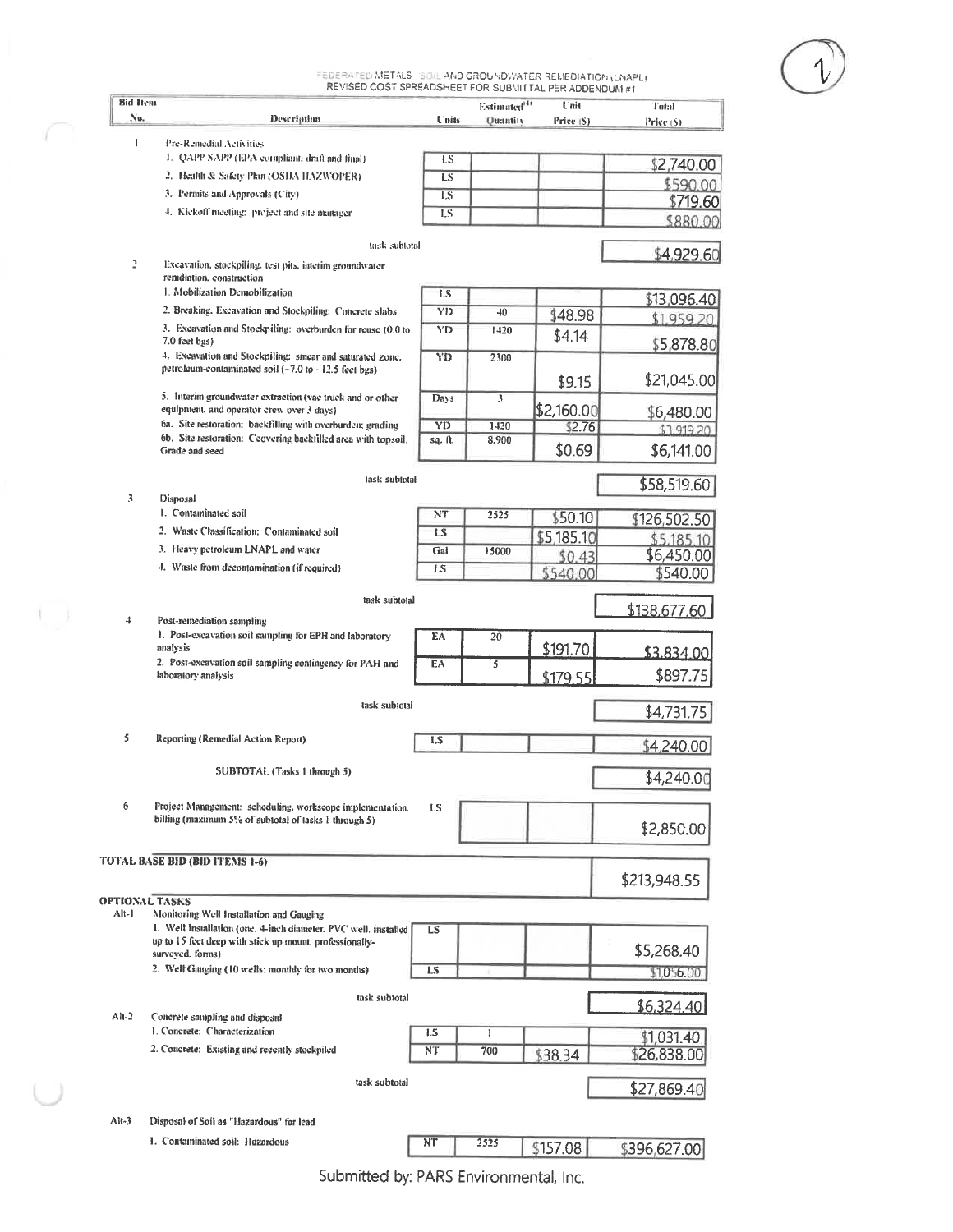FEDERATED METALS "SOIL AND GROUNDWATER REMEDIATION (LNAPL)<br>REVISED COST SPREADSHEET FOR SUBMITTAL PER ADDENDUM #1

| <b>Bid Item</b>       |                                                                                                                    |         | Estimated <sup>(4)</sup> | Unit       | Total                    |
|-----------------------|--------------------------------------------------------------------------------------------------------------------|---------|--------------------------|------------|--------------------------|
| No.                   | Description                                                                                                        | Units   | <b>Ouantity</b>          | Price (S)  | Price (\$)               |
| $\mathbf{1}$          | Pre-Remedial Activities                                                                                            |         |                          |            |                          |
|                       | 1. QAPP SAPP (EPA compliant: draft and final)                                                                      | ŁS      |                          |            | \$2,740.00               |
|                       | 2. Health & Safety Plan (OSHA HAZWOPER).                                                                           | LS      |                          |            | \$590.00                 |
|                       | 3. Permits and Approvals (City)                                                                                    | 1.8     |                          |            | \$719.60                 |
|                       | 4. Kickoff meeting: project and site manager                                                                       | LS.     |                          |            | \$880.00                 |
|                       | task subtotal                                                                                                      |         |                          |            | \$4,929.60               |
| 2                     | Excavation, stockpiling, test pits, interim groundwater<br>remdiation, construction                                |         |                          |            |                          |
|                       | 1. Mobilization Demobilization                                                                                     | LS      |                          |            | \$13,096.40              |
|                       | 2. Breaking, Excavation and Stockpiling: Concrete slabs                                                            | YĐ      | 40                       | \$48.98    | \$1,959.20               |
|                       | 3. Excavation and Stockpiling: overburden for reuse (0.0 to<br>7.0 feet bgs)                                       | YD      | 1420                     | \$4.14     |                          |
|                       | 4. Excavation and Stockpiling: smear and saturated zone.<br>petroleum-contaminated soil (~7.0 to ~12.5 feet bgs)   | YD      | 2300                     |            | \$5,878.80               |
|                       | 5. Interim groundwater extraction (vac truck and or other                                                          |         |                          | \$9.15     | \$21,045.00              |
|                       | equipment, and operator crew over 3 days)                                                                          | Days    | 3                        | \$2,160.00 | \$6,480.00               |
|                       | 6a. Site restoration: backfilling with overburden; grading                                                         | YD      | 1420                     | \$2.76     | \$3,919.20               |
|                       | 6b. Site restoration: Ccovering backfilled area with topsoil.<br>Grade and seed                                    | sq. ft. | 8.900                    | \$0.69     | \$6,141.00               |
|                       |                                                                                                                    |         |                          |            |                          |
| 3                     | task subtotal<br>Disposal                                                                                          |         |                          |            | \$58,519.60              |
|                       | 1. Contaminated soil                                                                                               | NT      | 2525                     | \$50.10    |                          |
|                       | 2. Waste Classification: Contaminated soil                                                                         | LS      |                          | \$5,185.10 | \$126,502.50             |
|                       | 3. Heavy petroleum LNAPL and water                                                                                 | Gal     | 15000                    | \$0.43     | \$5,185,10<br>\$6,450.00 |
|                       | 4. Waste from decontamination (if required)                                                                        | LS      |                          | \$540,00   | \$540.00                 |
|                       |                                                                                                                    |         |                          |            |                          |
|                       | task subtotal                                                                                                      |         |                          |            | \$138,677.60             |
| 4                     | Post-remediation sampling<br>1. Post-excavation soil sampling for EPH and laboratory                               | EA      | 20                       |            |                          |
|                       | analysis                                                                                                           |         |                          | \$191.70   | \$3,834.00               |
|                       | 2. Post-excavation soil sampling contingency for PAH and<br>laboratory analysis                                    | EA      | 5                        | \$179.55   | \$897.75                 |
|                       | task subtotal                                                                                                      |         |                          |            |                          |
|                       |                                                                                                                    |         |                          |            | \$4,731.75               |
| 5                     | Reporting (Remedial Action Report)                                                                                 | I.S     |                          |            | \$4,240.00               |
|                       | SUBTOTAL (Tasks 1 through 5)                                                                                       |         |                          |            | \$4,240.00               |
|                       |                                                                                                                    |         |                          |            |                          |
| 6                     | Project Management: scheduling, workscope implementation.<br>billing (maximum 5% of subtotal of tasks 1 through 5) | LS      |                          |            |                          |
|                       |                                                                                                                    |         |                          |            | \$2,850.00               |
|                       | TOTAL BASE BID (BID ITEMS 1-6)                                                                                     |         |                          |            |                          |
|                       |                                                                                                                    |         |                          |            | \$213,948.55             |
| <b>OPTIONAL TASKS</b> |                                                                                                                    |         |                          |            |                          |
| Alt-I                 | Monitoring Well Installation and Gauging<br>1. Well Installation (one. 4-inch diameter, PVC well, installed        | LS      |                          |            |                          |
|                       | up to 15 feet deep with stick up mount, professionally-                                                            |         |                          |            | \$5,268.40               |
|                       | surveyed. forms)<br>2. Well Gauging (10 wells: monthly for two months)                                             | LS.     |                          |            | \$1,056.00               |
|                       |                                                                                                                    |         |                          |            |                          |
|                       | task subtotal                                                                                                      |         |                          |            | \$6,324.40               |
| Al <sub>1</sub>       | Concrete sampling and disposal<br>1. Concrete: Characterization                                                    | 1.S     | 1                        |            |                          |
|                       | 2. Concrete: Existing and recently stockpiled                                                                      | NT      | 700                      |            | \$1,031.40               |
|                       |                                                                                                                    |         |                          | \$38.34    | \$26,838.0               |
|                       | task subtotal                                                                                                      |         |                          |            | \$27,869.40              |
|                       |                                                                                                                    |         |                          |            |                          |
| $Al(-3)$              | Disposal of Soil as "Hazardous" for lead                                                                           |         |                          |            |                          |
|                       | 1. Contaminated soil: Hazardous                                                                                    | NT      | 2525                     | \$157.08   | \$396,627.00             |

 $\bigcirc$ 

Submitted by: PARS Environmental, Inc.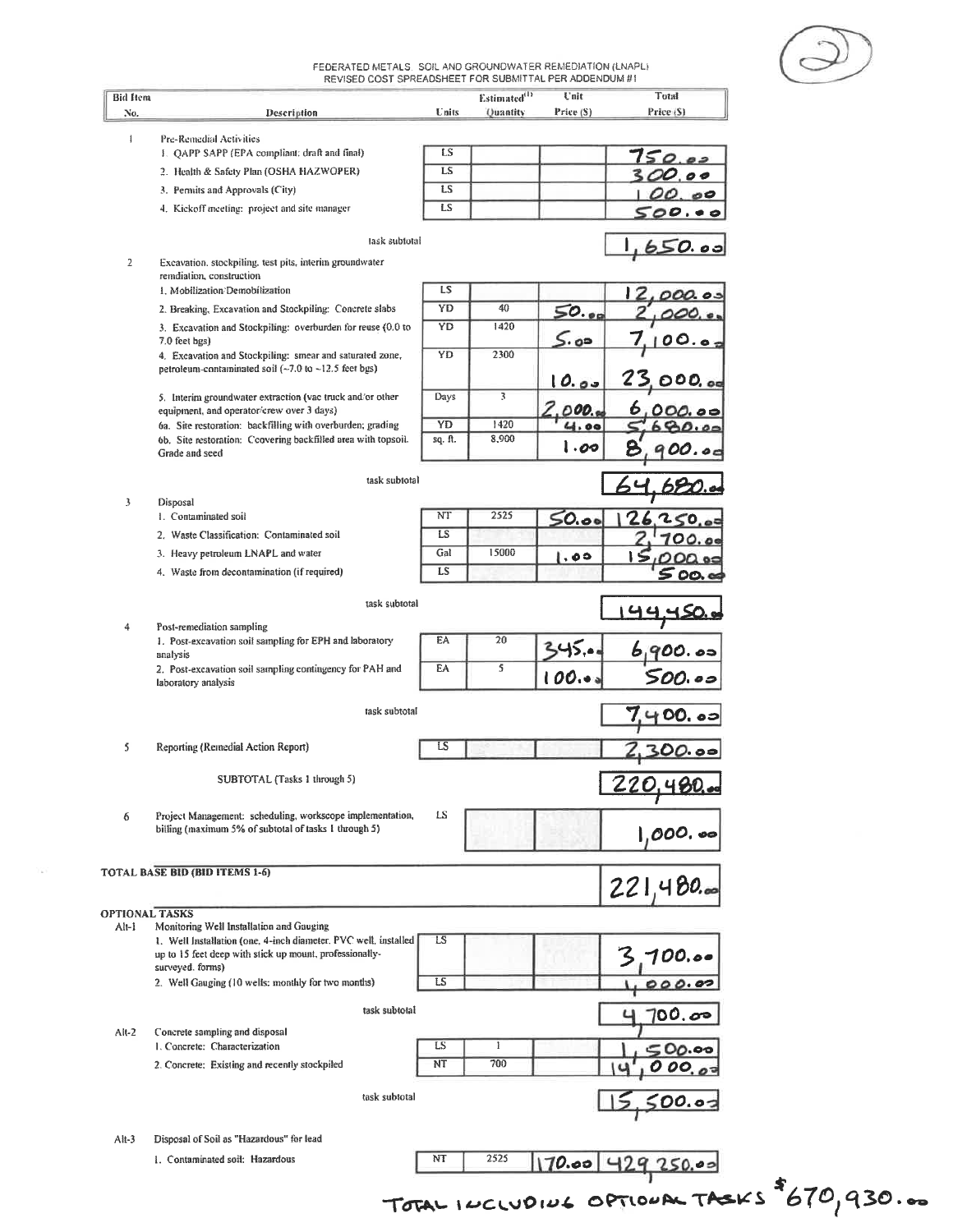FEDERATED METALS. SOIL AND GROUNDWATER REMEDIATION (LNAPL)<br>REVISED COST SPREADSHEET FOR SUBMITTAL PER ADDENDUM #1

| <b>Bid ftem</b>       |                                                                                                                             |           | Estimated <sup>(1)</sup> | Unit                      | Total         |
|-----------------------|-----------------------------------------------------------------------------------------------------------------------------|-----------|--------------------------|---------------------------|---------------|
| No.                   | Description                                                                                                                 | Units     | Quantity                 | Price (S)                 | Price (S)     |
| $\mathbf{I}$          | Pre-Remedial Activities                                                                                                     |           |                          |                           |               |
|                       | 1. QAPP SAPP (EPA compliant: draft and final)                                                                               | LS        |                          |                           |               |
|                       | 2. Health & Safety Plan (OSHA HAZWOPER)                                                                                     | LS        |                          |                           |               |
|                       | 3. Permits and Approvals (City)                                                                                             | LS        |                          |                           | €             |
|                       |                                                                                                                             | LS        |                          |                           |               |
|                       | 4. Kickoff meeting: project and site manager                                                                                |           |                          |                           | $\bullet$     |
|                       | lask subfotal                                                                                                               |           |                          |                           |               |
|                       |                                                                                                                             |           |                          |                           | <u>650.os</u> |
| $\overline{2}$        | Excavation, stockpiling, test pits, interim groundwater<br>remdiation, construction                                         |           |                          |                           |               |
|                       | 1. Mobilization Demobilization                                                                                              | LS        |                          |                           |               |
|                       | 2. Breaking, Excavation and Stockpiling: Concrete slabs                                                                     | YD        | 40                       |                           |               |
|                       |                                                                                                                             | <b>YD</b> | 1420                     | $\mathsf{SO.}\mathsf{oc}$ |               |
|                       | 3. Excavation and Stockpiling: overburden for reuse (0.0 to<br>7.0 feet bgs)                                                |           |                          | 5.00                      | ပ. .          |
|                       | 4. Excavation and Stockpiling: smear and saturated zone,                                                                    | YD        | 2300                     |                           |               |
|                       | petroleum-contaminated soil (~7.0 to ~12.5 feet bgs)                                                                        |           |                          |                           |               |
|                       |                                                                                                                             |           |                          | <u>10.00</u>              | O 0 0, oa     |
|                       | 5. Interim groundwater extraction (vac truck and/or other                                                                   | Days      | 3                        |                           |               |
|                       | equipment, and operator/crew over 3 days)                                                                                   | YD        | 1420                     | 000.                      |               |
|                       | 6a. Site restoration: backfilling with overburden; grading<br>6b. Site restoration: Ccovering backfilled area with topsoil. | sq. ft.   | 8,900                    | 4.00                      |               |
|                       | Grade and seed                                                                                                              |           |                          | 1.00                      |               |
|                       |                                                                                                                             |           |                          |                           |               |
|                       | task subtotal                                                                                                               |           |                          |                           |               |
| 3                     | Disposal                                                                                                                    |           |                          |                           |               |
|                       | 1. Contaminated soil                                                                                                        | NT        | 2525                     | 50.00                     |               |
|                       | 2. Waste Classification: Contaminated soil                                                                                  | LS        |                          |                           |               |
|                       | 3. Heavy petroleum LNAPL and water                                                                                          | Gal       | 15000                    |                           |               |
|                       |                                                                                                                             | LS        |                          | ە . ا                     |               |
|                       | 4. Waste from decontamination (if required)                                                                                 |           |                          |                           | OO.           |
|                       | task subtotal                                                                                                               |           |                          |                           |               |
|                       |                                                                                                                             |           |                          |                           |               |
| 4                     | Post-remediation sampling                                                                                                   |           |                          |                           |               |
|                       | 1. Post-excavation soil sampling for EPH and laboratory                                                                     | EA        | 20                       |                           | 0. 05         |
|                       | analysis<br>2. Post-excavation soil sampling contingency for PAH and                                                        | EA        | 5                        |                           |               |
|                       | laboratory analysis                                                                                                         |           |                          | 100.0                     | (). o s       |
|                       |                                                                                                                             |           |                          |                           |               |
|                       | task subtotal                                                                                                               |           |                          |                           | DD, 65        |
|                       |                                                                                                                             |           |                          |                           |               |
| 5                     | Reporting (Remedial Action Report)                                                                                          | LS        |                          |                           |               |
|                       |                                                                                                                             |           |                          |                           |               |
|                       | SUBTOTAL (Tasks 1 through 5)                                                                                                |           |                          |                           | 220,480.      |
|                       |                                                                                                                             |           |                          |                           |               |
| 6                     | Project Management: scheduling, workscope implementation,                                                                   | LS        |                          |                           |               |
|                       | billing (maximum 5% of subtotal of tasks 1 through 5)                                                                       |           |                          |                           | $1,000.$ 00   |
|                       |                                                                                                                             |           |                          |                           |               |
|                       |                                                                                                                             |           |                          |                           |               |
|                       | <b>TOTAL BASE BID (BID ITEMS 1-6)</b>                                                                                       |           |                          |                           | 221,480.      |
|                       |                                                                                                                             |           |                          |                           |               |
| <b>OPTIONAL TASKS</b> |                                                                                                                             |           |                          |                           |               |
| $Al-1$                | Monitoring Well Installation and Gauging                                                                                    |           |                          |                           |               |
|                       | 1. Well Installation (one, 4-inch diameter, PVC well, installed                                                             | LS        |                          |                           |               |
|                       | up to 15 feet deep with stick up mount, professionally-<br>surveyed. forms)                                                 |           |                          |                           | 00.or         |
|                       | 2. Well Gauging (10 wells: monthly for two months)                                                                          | LS        |                          |                           |               |
|                       |                                                                                                                             |           |                          |                           |               |
|                       | task subtotal                                                                                                               |           |                          |                           | 00. రా        |
| $Alt-2$               | Concrete sampling and disposal                                                                                              |           |                          |                           |               |
|                       | 1. Concrete: Characterization                                                                                               | LS        | 1                        |                           |               |
|                       | 2. Concrete: Existing and recently stockpiled                                                                               | NT        | 700                      |                           |               |
|                       |                                                                                                                             |           |                          |                           |               |
|                       | task subtotal                                                                                                               |           |                          |                           |               |
|                       |                                                                                                                             |           |                          |                           | <u>00.os</u>  |
|                       |                                                                                                                             |           |                          |                           |               |
| $Alt-3$               | Disposal of Soil as "Hazardous" for lead                                                                                    |           |                          |                           |               |
|                       | 1. Contaminated soil: Hazardous                                                                                             | NT        | 2525                     | $170.00$ 429              | 250.00        |
|                       |                                                                                                                             |           |                          |                           |               |

 $\widetilde{\chi}^{\rm ex}_{\rm in}$ 

TOTAL INCLUDING OPTIONAL TASKS \$670,930.00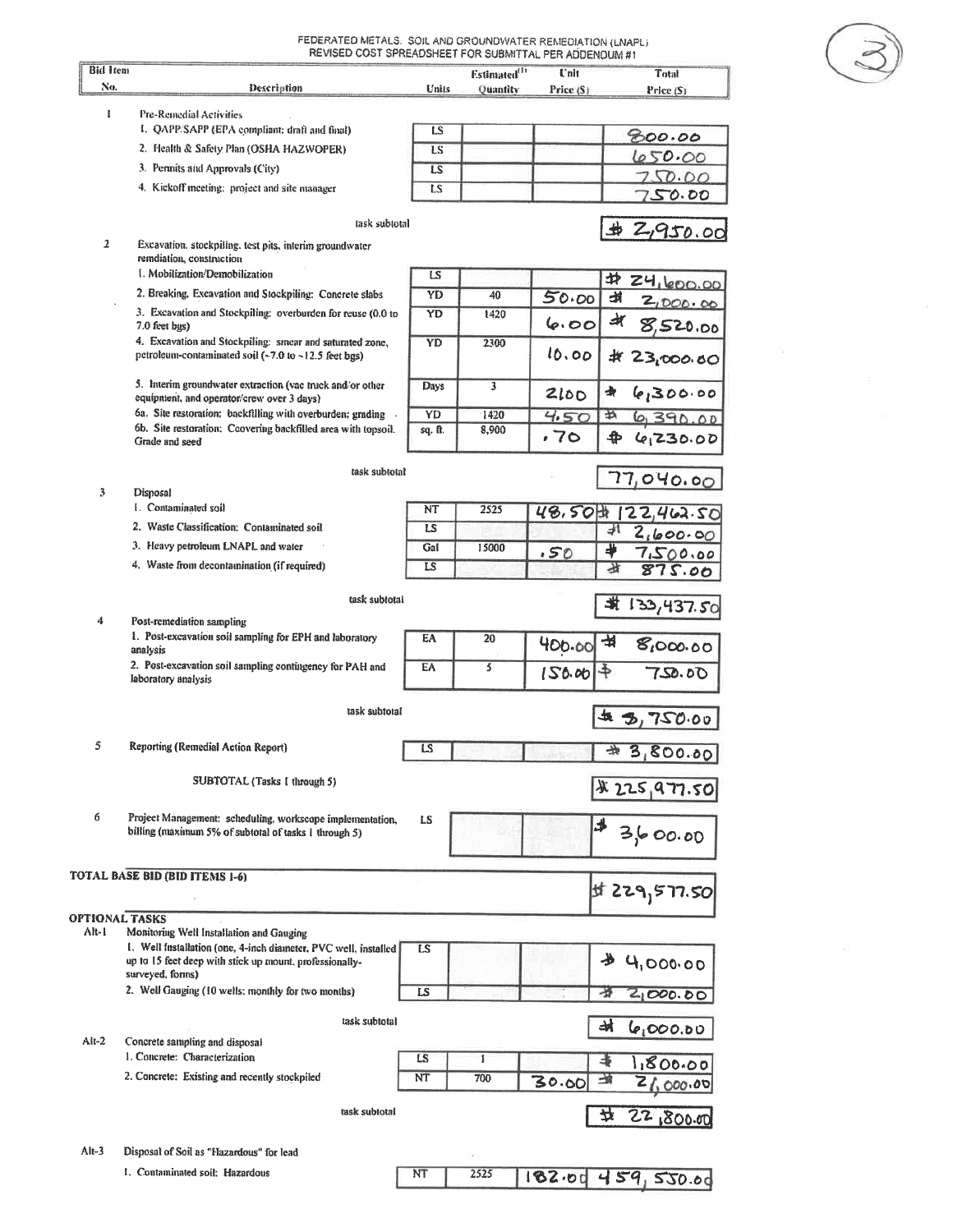FEDERATED METALS. SOIL AND GROUNDWATER REMEDIATION (LNAPL)

| <b>Bid Item</b>       | REVISED COST SPREADSHEET FOR SUBMITTAL PER ADDENOUM #1                                                                                         |           | Estimated <sup>(1)</sup> | Unit.     | Total                   |
|-----------------------|------------------------------------------------------------------------------------------------------------------------------------------------|-----------|--------------------------|-----------|-------------------------|
| No.                   | Description                                                                                                                                    | Units     | Quantity                 | Price (S) | Price (S)               |
| 1                     | Pre-Remedial Activities                                                                                                                        |           |                          |           |                         |
|                       | 1. QAPP SAPP (EPA compliant: draft and final)                                                                                                  | LS        |                          |           | 800.00                  |
|                       | 2. Health & Safety Plan (OSHA HAZWOPER)                                                                                                        | <b>LS</b> |                          |           |                         |
|                       | 3. Permits and Approvals (City)                                                                                                                | LS        |                          |           | 650.00                  |
|                       | 4. Kickoff meeting: project and site manager                                                                                                   | LS        |                          |           | 250.00                  |
|                       |                                                                                                                                                |           |                          |           | <u>750.00</u>           |
| $\overline{2}$        | task subtotal<br>Excavation, stockpiling, test pits, interim groundwater                                                                       |           |                          |           | ₩<br>2,950.00           |
|                       | remdiation, construction                                                                                                                       |           |                          |           |                         |
|                       | 1. Mobilization/Demobilization                                                                                                                 | LS        |                          |           | 井<br>Z4, 600.00         |
|                       | 2. Breaking, Excavation and Stockpiling: Concrete slabs                                                                                        | YD        | 40                       | 50.00     | ᆧ<br>2,000 OC           |
|                       | 3. Excavation and Stockpiling: overburden for reuse (0.0 to<br>7.0 feet bgs)                                                                   | YD        | 1420                     | 6.00      | अ<br>520.00             |
|                       | 4. Excavation and Stockpiling: smear and saturated zone,<br>petroleum-contaminated soil $(-7.0$ to $-12.5$ feet bgs)                           | YD        | 2300                     | 10.00     | #<br>23,000.80          |
|                       | 5. Interim groundwater extraction (vac truck and/or other<br>equipment, and operator/crew over 3 days)                                         | Days      | 3                        | 2100      | ₩<br>6,300.00           |
|                       | 6a. Site restoration: backfilling with overburden; grading                                                                                     | YD        | 1420                     | 4.50      | <br>01390.00            |
|                       | 6b. Site restoration: Ccovering backfilled area with topsoil.                                                                                  | sq. ft.   | 8,900                    |           |                         |
|                       | Grade and seed                                                                                                                                 |           |                          | .70       | $\clubsuit$<br>6,230.00 |
| 3                     | task subtotal<br>Disposal                                                                                                                      |           |                          |           | 77,040.00               |
|                       | 1. Contaminated soil                                                                                                                           | NT        | 2525                     |           |                         |
|                       | 2. Waste Classification: Contaminated soil                                                                                                     | LS        |                          | 48.50     | Ш<br>22,462.50<br>水     |
|                       | 3. Heavy petroleum LNAPL and water                                                                                                             | Gal       |                          |           | 2,600.00                |
|                       |                                                                                                                                                |           | 15000                    | .50       | 4<br>7,500.00           |
|                       | 4. Waste from decontamination (if required)                                                                                                    | LS        |                          |           | 甘<br>875.00             |
| 4                     | task subtotal<br>Post-remediation sampling                                                                                                     |           |                          |           | 北<br>133,437.50         |
|                       | 1. Post-excavation soil sampling for EPH and laboratory<br>analysis                                                                            | EA        | 20                       | 400.00    | 虫<br>8,000.00           |
|                       | 2. Post-excavation soil sampling contingency for PAH and<br>laboratory analysis                                                                | EA        | 5                        | 150.00    | \$<br>750.00            |
|                       | task subtotal                                                                                                                                  |           |                          |           | ₩.<br>3,750.00          |
|                       |                                                                                                                                                |           |                          |           |                         |
| 5                     | Reporting (Remedial Action Report)                                                                                                             | s         |                          |           | 3,800.00                |
|                       | SUBTOTAL (Tasks 1 through 5)                                                                                                                   |           |                          |           | \$225,977.50            |
| б                     | Project Management: scheduling, workscope implementation,<br>billing (maximum 5% of subtotal of tasks 1 through 5)                             | LS        |                          |           | 3600.00                 |
|                       |                                                                                                                                                |           |                          |           |                         |
|                       | <b>TOTAL BASE BID (BID ITEMS 1-6)</b>                                                                                                          |           |                          |           | 50 17.50 kg             |
| <b>OPTIONAL TASKS</b> |                                                                                                                                                |           |                          |           |                         |
| Alt-I                 | Monitoring Well Installation and Gauging                                                                                                       |           |                          |           |                         |
|                       | 1. Well installation (one, 4-inch diameter, PVC well, installed<br>up to 15 feet deep with stick up mount, professionally-<br>surveyed, forms) | LS        |                          |           | 4,000.00                |
|                       | 2. Well Gauging (10 wells; monthly for two months)                                                                                             | LS        |                          |           | 2000.00                 |
|                       |                                                                                                                                                |           |                          |           |                         |
| $Alt-2$               | task subtotal<br>Concrete sampling and disposal                                                                                                |           |                          |           | 켜<br>6,000.00           |
|                       | 1. Concrete: Characterization                                                                                                                  | LS        | 1                        |           | 1800.00                 |
|                       | 2. Concrete: Existing and recently stockpiled                                                                                                  | NT        | 700                      | 30.00     | Z<br>000.00             |
|                       | task subtotal                                                                                                                                  |           |                          |           | 22,800.00<br>늇          |
|                       |                                                                                                                                                |           |                          |           |                         |
| Alt-3                 | Disposal of Soil as "Hazardous" for lead                                                                                                       |           |                          |           |                         |
|                       | 1. Contaminated soil: Hazardous                                                                                                                | NT        | 2525                     | 182.00    | 459,530.00              |
|                       |                                                                                                                                                |           |                          |           |                         |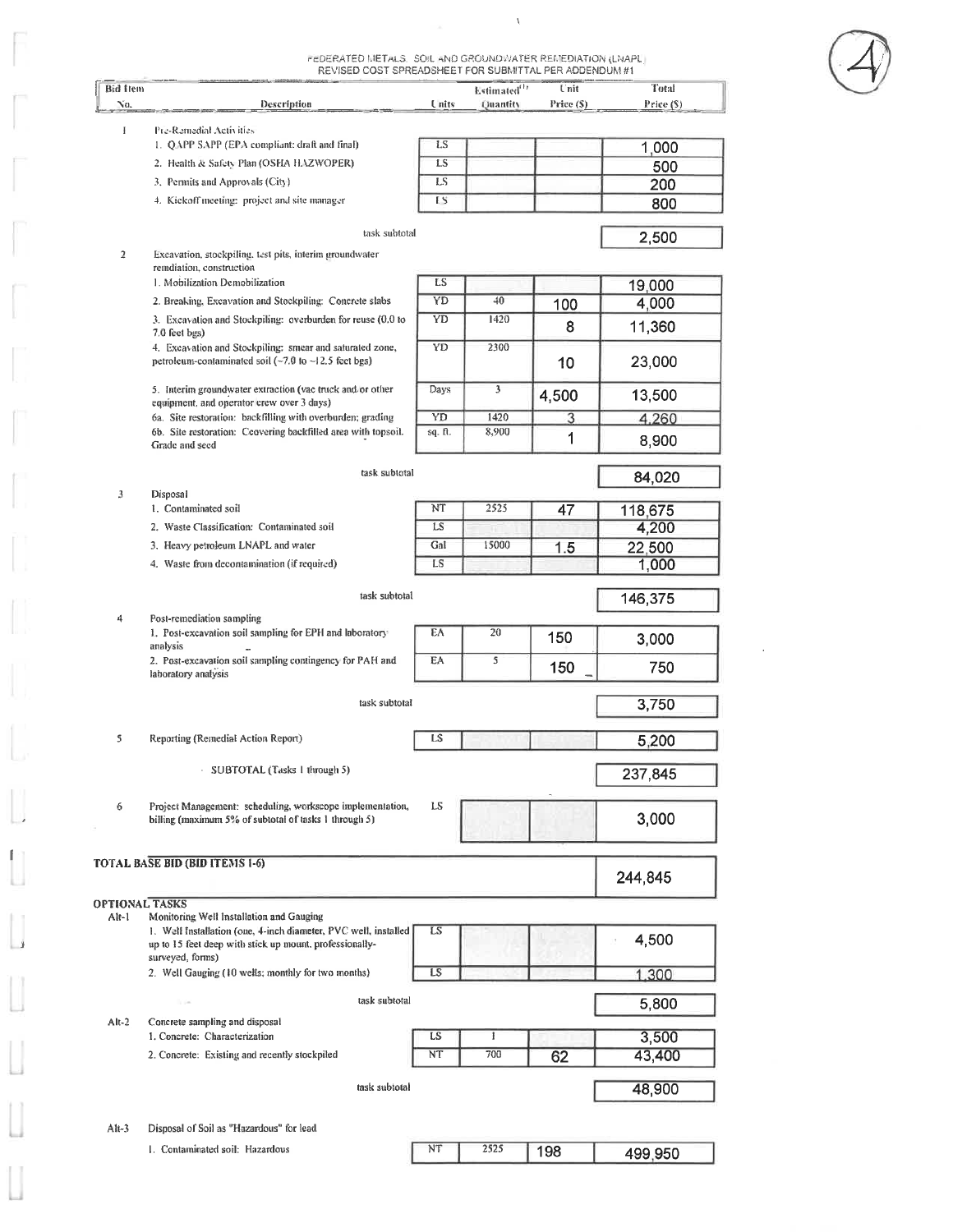FEDERATED METALS. SOIL AND GROUND WATER REMEDIATION (LNAPL)

 $\bar{V}$ 

|                       | REVISED COST SPREADSHEET FOR SUBMITTAL PER ADDENDUM #1                                                  |               |                          |            |           |
|-----------------------|---------------------------------------------------------------------------------------------------------|---------------|--------------------------|------------|-----------|
| <b>Bid Item</b>       |                                                                                                         |               | Estimated <sup>(1)</sup> | Unit       | Total     |
| No.                   | Description                                                                                             | <b>L</b> nits | Quantity                 | Price (\$) | Price (S) |
| I                     | Pre-Remedial Activities                                                                                 |               |                          |            |           |
|                       | 1. QAPP SAPP (EPA compliant: draft and final)                                                           | LS.           |                          |            | 1,000     |
|                       | 2. Health & Safety Plan (OSHA HAZWOPER)                                                                 | LS.           |                          |            | 500       |
|                       | 3. Permits and Approvals (City)                                                                         | LS.           |                          |            | 200       |
|                       | 4. Kickoff meeting: project and site manager                                                            | IS            |                          |            | 800       |
|                       |                                                                                                         |               |                          |            |           |
|                       | task subtotal                                                                                           |               |                          |            | 2,500     |
| $\overline{2}$        | Excavation, stockpiling, test pits, interim groundwater                                                 |               |                          |            |           |
|                       | remdiation, construction                                                                                |               |                          |            |           |
|                       | 1. Mobilization Demobilization                                                                          | LS            |                          |            | 19,000    |
|                       | 2. Breaking, Excavation and Stockpiling: Concrete slabs                                                 | YD            | 40                       | 100        | 4,000     |
|                       | 3. Excavation and Stockpiling: overburden for reuse (0.0 to                                             | YD            | 1420                     | 8          | 11,360    |
|                       | 7.0 feet bgs)<br>4. Excavation and Stockpiling: smear and saturated zone,                               | YD            | 2300                     |            |           |
|                       | petroleum-contaminated soil $(-7.0 \text{ to } -12.5 \text{ feet bg})$                                  |               |                          | 10         | 23,000    |
|                       |                                                                                                         |               |                          |            |           |
|                       | 5. Interim groundwater extraction (vac truck and or other                                               | Days          | 3                        | 4,500      | 13,500    |
|                       | equipment, and operator crew over 3 days)<br>6a. Site restoration: backfilling with overburden; grading | YD            | 1420                     | 3          | 4.260     |
|                       | 6b. Site restoration: Ccovering backfilled area with topsoil.                                           | sq. ft.       | 8,900                    |            |           |
|                       | Grade and seed                                                                                          |               |                          | 1          | 8,900     |
|                       |                                                                                                         |               |                          |            |           |
|                       | task subtotal                                                                                           |               |                          |            | 84,020    |
| 3                     | Disposal                                                                                                |               |                          |            |           |
|                       | 1. Contaminated soil                                                                                    | NT            | 2525                     | 47         | 118,675   |
|                       | 2. Waste Classification: Contaminated soil                                                              | LS            |                          |            | 4,200     |
|                       | 3. Heavy petroleum LNAPL and water                                                                      | Gal           | 15000                    | 1.5        | 22,500    |
|                       | 4. Waste from decontamination (if required)                                                             | LS            |                          |            | 1,000     |
|                       |                                                                                                         |               |                          |            |           |
|                       | task subtotal                                                                                           |               |                          |            | 146,375   |
| 4                     | Post-remediation sampling                                                                               |               |                          |            |           |
|                       | 1. Post-excavation soil sampling for EPH and laboratory                                                 | ΕA            | 20                       | 150        | 3,000     |
|                       | analysis                                                                                                |               |                          |            |           |
|                       | 2. Post-excavation soil sampling contingency for PAH and<br>laboratory analysis                         | EA            | 5                        | 150        | 750       |
|                       |                                                                                                         |               |                          |            |           |
|                       | task subtotal                                                                                           |               |                          |            | 3,750     |
|                       |                                                                                                         |               |                          |            |           |
| 5                     | Reporting (Remedial Action Report)                                                                      | LS            |                          |            | 5,200     |
|                       |                                                                                                         |               |                          |            |           |
|                       | SUBTOTAL (Tasks 1 through 5)                                                                            |               |                          |            | 237,845   |
|                       |                                                                                                         |               |                          |            |           |
| 6                     | Project Management: scheduling, workscope implementation,                                               | LS            |                          |            |           |
|                       | billing (maximum 5% of subtotal of tasks 1 through 5)                                                   |               |                          |            | 3,000     |
|                       |                                                                                                         |               |                          |            |           |
|                       | <b>TOTAL BASE BID (BID ITEMS 1-6)</b>                                                                   |               |                          |            |           |
|                       |                                                                                                         |               |                          |            | 244,845   |
|                       |                                                                                                         |               |                          |            |           |
| <b>OPTIONAL TASKS</b> | Monitoring Well Installation and Gauging                                                                |               |                          |            |           |
| Alt-1                 | 1. Well Installation (one, 4-inch diameter, PVC well, installed                                         | LS            |                          |            |           |
|                       | up to 15 feet deep with stick up mount, professionally-                                                 |               |                          |            | 4,500     |
|                       | surveyed, forms)                                                                                        |               |                          |            |           |
|                       | 2. Well Gauging (10 wells; monthly for two months)                                                      | LS.           |                          |            | 1.300     |
|                       | task subtotal                                                                                           |               |                          |            |           |
|                       |                                                                                                         |               | 5,800                    |            |           |
| $Alt-2$               | Concrete sampling and disposal                                                                          |               |                          |            |           |
|                       | 1. Concrete: Characterization                                                                           | LS            | 1                        |            | 3,500     |
|                       | 2. Concrete: Existing and recently stockpiled                                                           | NT            | 700                      | 62         | 43,400    |
|                       |                                                                                                         |               |                          |            |           |
|                       | task subtotal                                                                                           |               |                          |            | 48,900    |
|                       |                                                                                                         |               |                          |            |           |
| $Alt-3$               | Disposal of Soil as "Hazardous" for lead                                                                |               |                          |            |           |
|                       | 1. Contaminated soil: Hazardous                                                                         | NT            | 2525                     | 198        |           |
|                       |                                                                                                         |               |                          |            | 499,950   |

 $\mathbb{F}^n$